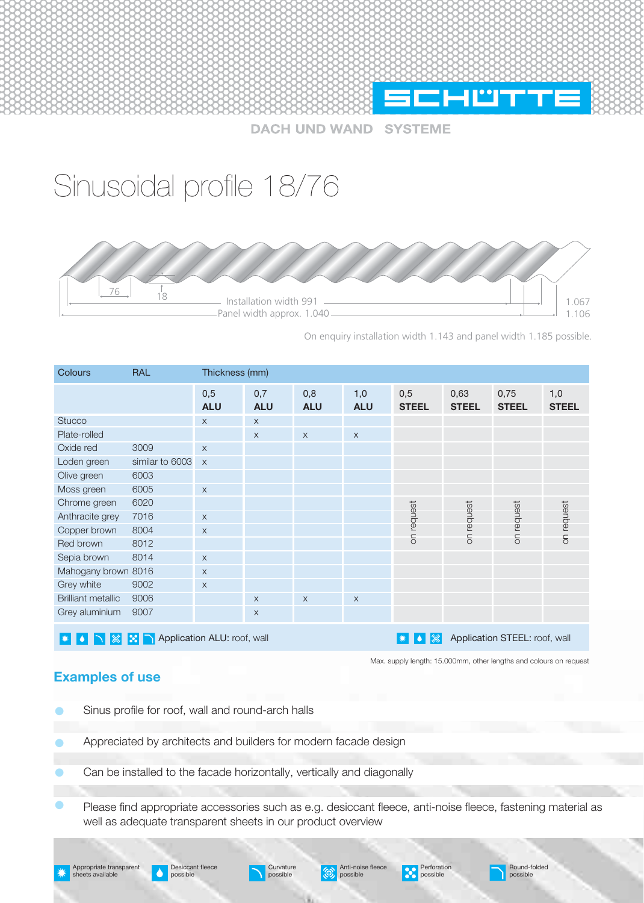

**DACH UND WAND SYSTEME** 

## Sinusoidal profile 18/76



On enquiry installation width 1.143 and panel width 1.185 possible.

| <b>Colours</b>                                                                                                                          | <b>RAL</b>                                                         | Thickness (mm)    |                   |                   |                   |                     |                      |                      |                     |  |  |  |
|-----------------------------------------------------------------------------------------------------------------------------------------|--------------------------------------------------------------------|-------------------|-------------------|-------------------|-------------------|---------------------|----------------------|----------------------|---------------------|--|--|--|
|                                                                                                                                         |                                                                    | 0,5<br><b>ALU</b> | 0,7<br><b>ALU</b> | 0,8<br><b>ALU</b> | 1,0<br><b>ALU</b> | 0,5<br><b>STEEL</b> | 0,63<br><b>STEEL</b> | 0,75<br><b>STEEL</b> | 1,0<br><b>STEEL</b> |  |  |  |
| <b>Stucco</b>                                                                                                                           |                                                                    | $\times$          | $\times$          |                   |                   |                     |                      |                      |                     |  |  |  |
| Plate-rolled                                                                                                                            |                                                                    |                   | $\times$          | $\times$          | $\mathsf X$       |                     |                      |                      |                     |  |  |  |
| Oxide red                                                                                                                               | 3009                                                               | $\times$          |                   |                   |                   |                     |                      |                      |                     |  |  |  |
| Loden green                                                                                                                             | similar to 6003                                                    | $\times$          |                   |                   |                   |                     |                      |                      |                     |  |  |  |
| Olive green                                                                                                                             | 6003                                                               |                   |                   |                   |                   |                     |                      |                      |                     |  |  |  |
| Moss green                                                                                                                              | 6005                                                               | $\times$          |                   |                   |                   |                     |                      |                      |                     |  |  |  |
| Chrome green                                                                                                                            | 6020                                                               |                   |                   |                   |                   |                     |                      |                      |                     |  |  |  |
| Anthracite grey                                                                                                                         | 7016                                                               | $\times$          |                   |                   |                   | on request          | on request           | request              | on request          |  |  |  |
| Copper brown                                                                                                                            | 8004                                                               | $\times$          |                   |                   |                   |                     |                      |                      |                     |  |  |  |
| Red brown                                                                                                                               | 8012                                                               |                   |                   |                   |                   |                     |                      | Sp                   |                     |  |  |  |
| Sepia brown                                                                                                                             | 8014                                                               | $\mathsf X$       |                   |                   |                   |                     |                      |                      |                     |  |  |  |
| Mahogany brown 8016                                                                                                                     |                                                                    | $\times$          |                   |                   |                   |                     |                      |                      |                     |  |  |  |
| Grey white                                                                                                                              | 9002                                                               | $\times$          |                   |                   |                   |                     |                      |                      |                     |  |  |  |
| <b>Brilliant metallic</b>                                                                                                               | 9006                                                               |                   | X                 | $\times$          | $\mathsf X$       |                     |                      |                      |                     |  |  |  |
| Grey aluminium                                                                                                                          | 9007                                                               |                   | X                 |                   |                   |                     |                      |                      |                     |  |  |  |
| Application ALU: roof, wall<br>Application STEEL: roof, wall<br>$ \textcircled{\tiny{\textcirc}}\rangle$<br>O,<br>BH<br>▎☀<br>$\bullet$ |                                                                    |                   |                   |                   |                   |                     |                      |                      |                     |  |  |  |
|                                                                                                                                         | Max. supply length: 15.000mm, other lengths and colours on request |                   |                   |                   |                   |                     |                      |                      |                     |  |  |  |

## **Examples of use**

- Sinus profile for roof, wall and round-arch halls
- Appreciated by architects and builders for modern facade design
- Can be installed to the facade horizontally, vertically and diagonally
- Please find appropriate accessories such as e.g. desiccant fleece, anti-noise fleece, fastening material as well as adequate transparent sheets in our product overview